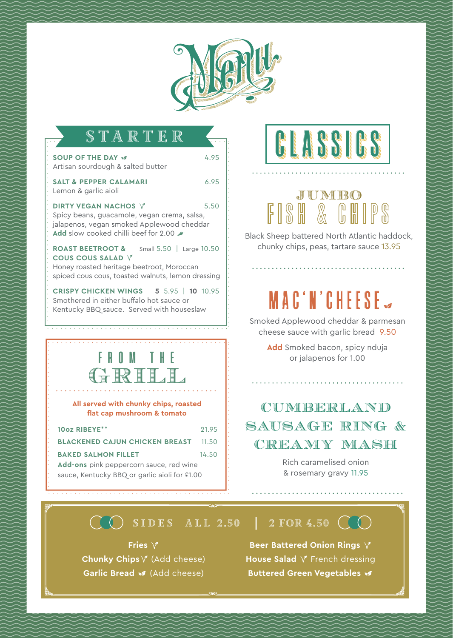

|  | H |  | II |  |  |
|--|---|--|----|--|--|
|  |   |  |    |  |  |

| <b>SOUP OF THE DAY W</b>                                                                                                                                                       | 4.95  |  |  |  |  |  |  |
|--------------------------------------------------------------------------------------------------------------------------------------------------------------------------------|-------|--|--|--|--|--|--|
| Artisan sourdough & salted butter                                                                                                                                              |       |  |  |  |  |  |  |
| <b>SALT &amp; PEPPER CALAMARI</b><br>Lemon & garlic aioli                                                                                                                      | 6.95  |  |  |  |  |  |  |
| <b>DIRTY VEGAN NACHOS V</b><br>Spicy beans, guacamole, vegan crema, salsa,<br>jalapenos, vegan smoked Applewood cheddar<br>Add slow cooked chilli beef for 2.00                | 5.50  |  |  |  |  |  |  |
| <b>ROAST BEETROOT &amp;</b><br>Small 5.50   Large 10.50<br>COUS COUS SALAD V<br>Honey roasted heritage beetroot, Moroccan<br>spiced cous cous, toasted walnuts, lemon dressing |       |  |  |  |  |  |  |
| <b>CRISPY CHICKEN WINGS</b><br>5 5.95   10 10.95<br>Smothered in either buffalo hot sauce or<br>Kentucky BBQ sauce. Served with houseslaw                                      |       |  |  |  |  |  |  |
|                                                                                                                                                                                |       |  |  |  |  |  |  |
| FROM THE<br>GRILL<br>All served with chunky chips, roasted<br>flat cap mushroom & tomato                                                                                       |       |  |  |  |  |  |  |
| 10oz RIBEYE**                                                                                                                                                                  | 21.95 |  |  |  |  |  |  |
| <b>BLACKENED CAJUN CHICKEN BREAST</b>                                                                                                                                          | 11.50 |  |  |  |  |  |  |
| BAKED SALMON FILLET                                                                                                                                                            | 14.50 |  |  |  |  |  |  |

### **Add-ons** pink peppercorn sauce, red wine sauce, Kentucky BBQ or garlic aioli for £1.00

# **CCLASSICS**

## JUMBO FISH & CHIPS

Black Sheep battered North Atlantic haddock, chunky chips, peas, tartare sauce 13.95

# MAC'N'CHEESE

Smoked Applewood cheddar & parmesan cheese sauce with garlic bread 9.50

> **Add** Smoked bacon, spicy nduja or jalapenos for 1.00

### CUMBERLAND SAUSAGE RING & CREAMY MASH

Rich caramelised onion & rosemary gravy 11.95

### $\bigcirc$  SIDES ALL 2.50 | 2 FOR 4.50  $\bigcirc$

**Fries**  $\sqrt{ }$ **Chunky Chips**  $\sqrt{ }$  (Add cheese) Garlic Bread **s** (Add cheese)

**Food allergies small text, Food allergies small text, Food allergies small text, Food allergies small text, Food allergies small text, Food allergies small text, Food allergies small text, Food allergies small text, Food Beer Battered Onion Rings**  $\sqrt{ }$ House Salad  $\sqrt{ }$  French dressing